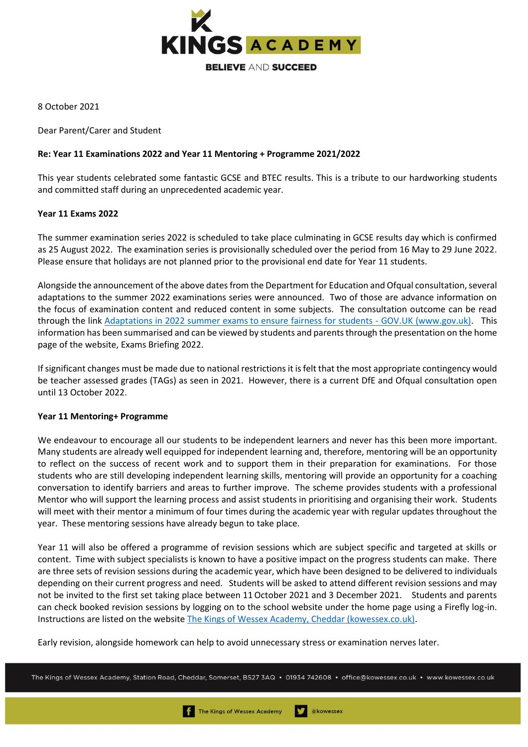

8 October 2021

Dear Parent/Carer and Student

## **Re: Year 11 Examinations 2022 and Year 11 Mentoring + Programme 2021/2022**

This year students celebrated some fantastic GCSE and BTEC results. This is a tribute to our hardworking students and committed staff during an unprecedented academic year.

## **Year 11 Exams 2022**

The summer examination series 2022 is scheduled to take place culminating in GCSE results day which is confirmed as 25 August 2022. The examination series is provisionally scheduled over the period from 16 May to 29 June 2022. Please ensure that holidays are not planned prior to the provisional end date for Year 11 students.

Alongside the announcement of the above dates from the Department for Education and Ofqual consultation, several adaptations to the summer 2022 examinations series were announced. Two of those are advance information on the focus of examination content and reduced content in some subjects. The consultation outcome can be read through the link [Adaptations in 2022 summer exams to ensure fairness for students](https://www.gov.uk/government/news/adaptations-in-2022-summer-examsto-ensure-fairness-for-students) - GOV.UK (www.gov.uk). This information has been summarised and can be viewed by students and parents through the presentation on the home page of the website, Exams Briefing 2022.

If significant changes must be made due to national restrictions it is felt that the most appropriate contingency would be teacher assessed grades (TAGs) as seen in 2021. However, there is a current DfE and Ofqual consultation open until 13 October 2022.

## **Year 11 Mentoring+ Programme**

We endeavour to encourage all our students to be independent learners and never has this been more important. Many students are already well equipped for independent learning and, therefore, mentoring will be an opportunity to reflect on the success of recent work and to support them in their preparation for examinations. For those students who are still developing independent learning skills, mentoring will provide an opportunity for a coaching conversation to identify barriers and areas to further improve. The scheme provides students with a professional Mentor who will support the learning process and assist students in prioritising and organising their work. Students will meet with their mentor a minimum of four times during the academic year with regular updates throughout the year. These mentoring sessions have already begun to take place.

Year 11 will also be offered a programme of revision sessions which are subject specific and targeted at skills or content. Time with subject specialists is known to have a positive impact on the progress students can make. There are three sets of revision sessions during the academic year, which have been designed to be delivered to individuals depending on their current progress and need. Students will be asked to attend different revision sessions and may not be invited to the first set taking place between 11October 2021 and 3 December 2021. Students and parents can check booked revision sessions by logging on to the school website under the home page using a Firefly log-in. Instructions are listed on the website [The Kings of Wessex Academy, Cheddar \(kowessex.co.uk\).](https://www.kowessex.co.uk/menu/parents/online.php)

Early revision, alongside homework can help to avoid unnecessary stress or examination nerves later.

The Kings of Wessex Academy, Station Road, Cheddar, Somerset, BS27 3AQ · 01934 742608 · office@kowessex.co.uk · www.kowessex.co.uk